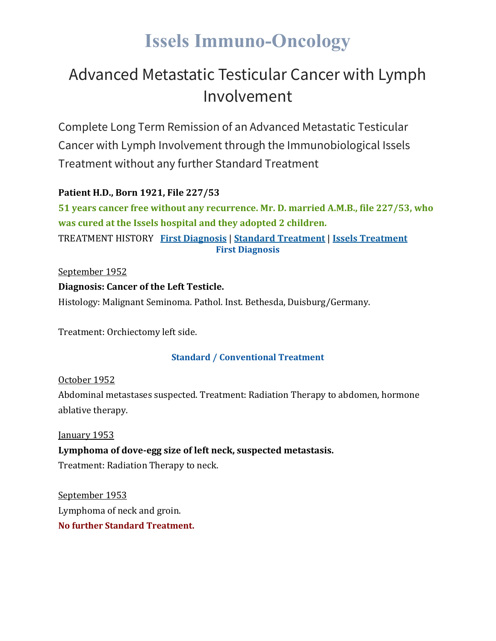# **Issels Immuno-Oncology**

# Advanced Metastatic Testicular Cancer with Lymph Involvement

Complete Long Term Remission of an Advanced Metastatic Testicular Cancer with Lymph Involvement through the Immunobiological Issels Treatment without any further Standard Treatment

## **Patient H.D., Born 1921, File 227/53**

**51 years cancer free without any recurrence. Mr. D. married A.M.B., file 227/53, who was cured at the Issels hospital and they adopted 2 children.** TREATMENT HISTORY **First [Diagnosis](https://issels.com/cancer-cases/testicular-1-advanced-metastatic-testicular-cancer-with-lymph-involvement/#First)** | **Standard [Treatment](https://issels.com/cancer-cases/testicular-1-advanced-metastatic-testicular-cancer-with-lymph-involvement/#Standard)** | **Issels [Treatment](https://issels.com/cancer-cases/testicular-1-advanced-metastatic-testicular-cancer-with-lymph-involvement/#Issels) First Diagnosis**

### September 1952

### **Diagnosis: Cancer of the Left Testicle.**

Histology: Malignant Seminoma. Pathol. Inst. Bethesda, Duisburg/Germany.

Treatment: Orchiectomy left side.

### **Standard / Conventional Treatment**

October 1952 Abdominal metastases suspected. Treatment: Radiation Therapy to abdomen, hormone ablative therapy.

### January 1953

## **Lymphoma of dove-egg size of left neck, suspected metastasis.**

Treatment: Radiation Therapy to neck.

September 1953 Lymphoma of neck and groin. **No further Standard Treatment.**